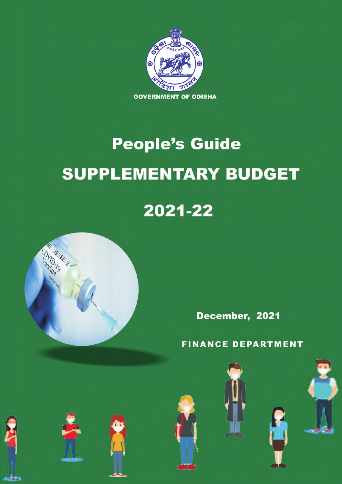

# **People's Guide SUPPLEMENTARY BUDGET**

# 2021-22



December, 2021

**FINANCE DEPARTMENT** 











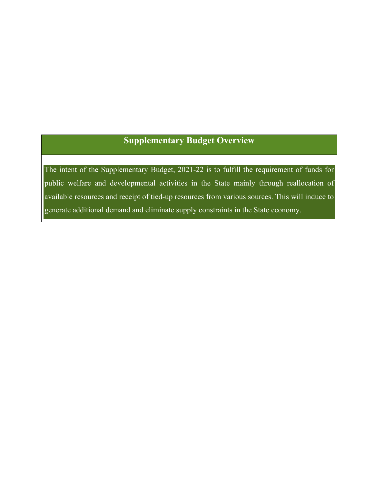# **Supplementary Budget Overview**

The intent of the Supplementary Budget, 2021-22 is to fulfill the requirement of funds for public welfare and developmental activities in the State mainly through reallocation of available resources and receipt of tied-up resources from various sources. This will induce to generate additional demand and eliminate supply constraints in the State economy.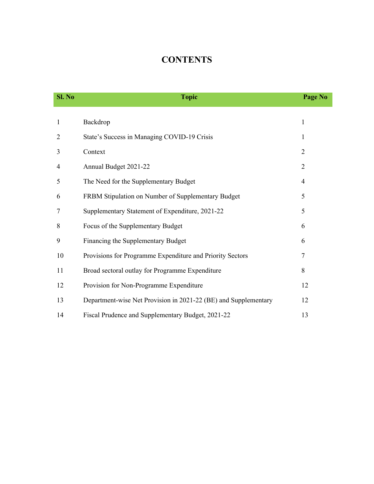# **CONTENTS**

| Sl. No | <b>Topic</b>                                                    | Page No        |
|--------|-----------------------------------------------------------------|----------------|
|        |                                                                 |                |
| 1      | Backdrop                                                        | $\mathbf{1}$   |
| 2      | State's Success in Managing COVID-19 Crisis                     | 1              |
| 3      | Context                                                         | $\overline{2}$ |
| 4      | Annual Budget 2021-22                                           | $\overline{2}$ |
| 5      | The Need for the Supplementary Budget                           | 4              |
| 6      | FRBM Stipulation on Number of Supplementary Budget              | 5              |
| 7      | Supplementary Statement of Expenditure, 2021-22                 | 5              |
| 8      | Focus of the Supplementary Budget                               | 6              |
| 9      | Financing the Supplementary Budget                              | 6              |
| 10     | Provisions for Programme Expenditure and Priority Sectors       | 7              |
| 11     | Broad sectoral outlay for Programme Expenditure                 | 8              |
| 12     | Provision for Non-Programme Expenditure                         | 12             |
| 13     | Department-wise Net Provision in 2021-22 (BE) and Supplementary | 12             |
| 14     | Fiscal Prudence and Supplementary Budget, 2021-22               | 13             |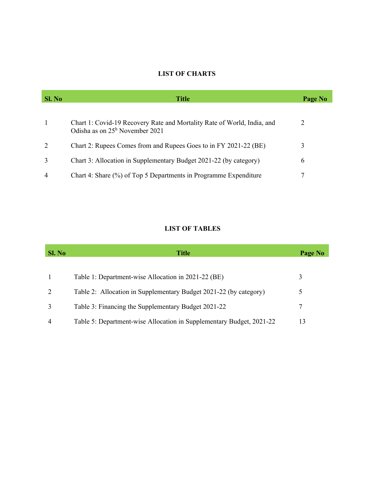# **LIST OF CHARTS**

| Sl. No         | <b>Title</b>                                                                                                       | Page No |
|----------------|--------------------------------------------------------------------------------------------------------------------|---------|
| -1             | Chart 1: Covid-19 Recovery Rate and Mortality Rate of World, India, and<br>Odisha as on $25^{\rm h}$ November 2021 | 2       |
| 2              | Chart 2: Rupees Comes from and Rupees Goes to in FY 2021-22 (BE)                                                   |         |
| 3              | Chart 3: Allocation in Supplementary Budget 2021-22 (by category)                                                  | 6       |
| $\overline{4}$ | Chart 4: Share (%) of Top 5 Departments in Programme Expenditure                                                   |         |

# **LIST OF TABLES**

| Sl. No         | <b>Title</b>                                                         | Page No |
|----------------|----------------------------------------------------------------------|---------|
|                | Table 1: Department-wise Allocation in 2021-22 (BE)                  | 3       |
| 2              | Table 2: Allocation in Supplementary Budget 2021-22 (by category)    |         |
| 3              | Table 3: Financing the Supplementary Budget 2021-22                  |         |
| $\overline{4}$ | Table 5: Department-wise Allocation in Supplementary Budget, 2021-22 | 13      |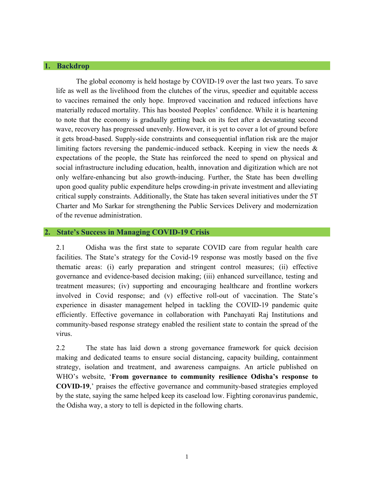# **1. Backdrop**

The global economy is held hostage by COVID-19 over the last two years. To save life as well as the livelihood from the clutches of the virus, speedier and equitable access to vaccines remained the only hope. Improved vaccination and reduced infections have materially reduced mortality. This has boosted Peoples' confidence. While it is heartening to note that the economy is gradually getting back on its feet after a devastating second wave, recovery has progressed unevenly. However, it is yet to cover a lot of ground before it gets broad-based. Supply-side constraints and consequential inflation risk are the major limiting factors reversing the pandemic-induced setback. Keeping in view the needs & expectations of the people, the State has reinforced the need to spend on physical and social infrastructure including education, health, innovation and digitization which are not only welfare-enhancing but also growth-inducing. Further, the State has been dwelling upon good quality public expenditure helps crowding-in private investment and alleviating critical supply constraints. Additionally, the State has taken several initiatives under the 5T Charter and Mo Sarkar for strengthening the Public Services Delivery and modernization of the revenue administration.

# **2. State's Success in Managing COVID-19 Crisis**

2.1 Odisha was the first state to separate COVID care from regular health care facilities. The State's strategy for the Covid-19 response was mostly based on the five thematic areas: (i) early preparation and stringent control measures; (ii) effective governance and evidence-based decision making; (iii) enhanced surveillance, testing and treatment measures; (iv) supporting and encouraging healthcare and frontline workers involved in Covid response; and (v) effective roll-out of vaccination. The State's experience in disaster management helped in tackling the COVID-19 pandemic quite efficiently. Effective governance in collaboration with Panchayati Raj Institutions and community-based response strategy enabled the resilient state to contain the spread of the virus.

2.2 The state has laid down a strong governance framework for quick decision making and dedicated teams to ensure social distancing, capacity building, containment strategy, isolation and treatment, and awareness campaigns. An article published on WHO's website, '**From governance to community resilience Odisha's response to COVID-19**,' praises the effective governance and community-based strategies employed by the state, saying the same helped keep its caseload low. Fighting coronavirus pandemic, the Odisha way, a story to tell is depicted in the following charts.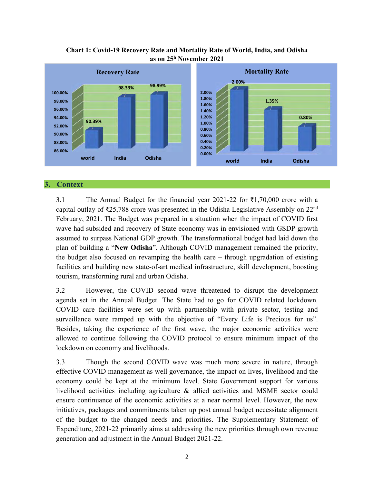

# **Chart 1: Covid-19 Recovery Rate and Mortality Rate of World, India, and Odisha as on 25h November 2021**

# **3. Context**

3.1 The Annual Budget for the financial year 2021-22 for ₹1,70,000 crore with a capital outlay of ₹25,788 crore was presented in the Odisha Legislative Assembly on  $22<sup>nd</sup>$ February, 2021. The Budget was prepared in a situation when the impact of COVID first wave had subsided and recovery of State economy was in envisioned with GSDP growth assumed to surpass National GDP growth. The transformational budget had laid down the plan of building a "**New Odisha**". Although COVID management remained the priority, the budget also focused on revamping the health care – through upgradation of existing facilities and building new state-of-art medical infrastructure, skill development, boosting tourism, transforming rural and urban Odisha.

3.2 However, the COVID second wave threatened to disrupt the development agenda set in the Annual Budget. The State had to go for COVID related lockdown. COVID care facilities were set up with partnership with private sector, testing and surveillance were ramped up with the objective of "Every Life is Precious for us". Besides, taking the experience of the first wave, the major economic activities were allowed to continue following the COVID protocol to ensure minimum impact of the lockdown on economy and livelihoods.

3.3 Though the second COVID wave was much more severe in nature, through effective COVID management as well governance, the impact on lives, livelihood and the economy could be kept at the minimum level. State Government support for various livelihood activities including agriculture & allied activities and MSME sector could ensure continuance of the economic activities at a near normal level. However, the new initiatives, packages and commitments taken up post annual budget necessitate alignment of the budget to the changed needs and priorities. The Supplementary Statement of Expenditure, 2021-22 primarily aims at addressing the new priorities through own revenue generation and adjustment in the Annual Budget 2021-22.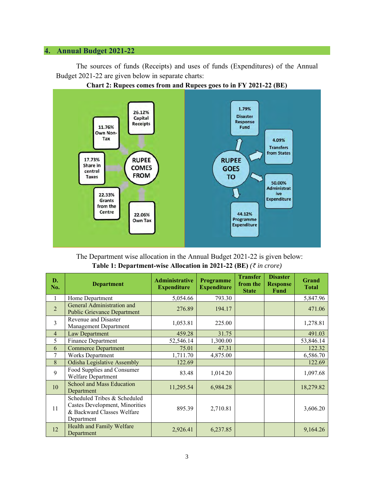# **4. Annual Budget 2021-22**

The sources of funds (Receipts) and uses of funds (Expenditures) of the Annual Budget 2021-22 are given below in separate charts:



**Chart 2: Rupees comes from and Rupees goes to in FY 2021-22 (BE)**

The Department wise allocation in the Annual Budget 2021-22 is given below: **Table 1: Department-wise Allocation in 2021-22 (BE)** *(₹ in crore)*

| D.<br>No.      | <b>Department</b>                                                                                          | <b>Administrative</b><br><b>Expenditure</b> | <b>Programme</b><br><b>Expenditure</b> | <b>Transfer</b><br>from the<br><b>State</b> | <b>Disaster</b><br><b>Response</b><br>Fund | <b>Grand</b><br><b>Total</b> |
|----------------|------------------------------------------------------------------------------------------------------------|---------------------------------------------|----------------------------------------|---------------------------------------------|--------------------------------------------|------------------------------|
| 1              | Home Department                                                                                            | 5,054.66                                    | 793.30                                 |                                             |                                            | 5,847.96                     |
| $\overline{2}$ | General Administration and<br><b>Public Grievance Department</b>                                           | 276.89                                      | 194.17                                 |                                             |                                            | 471.06                       |
| 3              | <b>Revenue and Disaster</b><br>Management Department                                                       | 1,053.81                                    | 225.00                                 |                                             |                                            | 1,278.81                     |
| $\overline{4}$ | Law Department                                                                                             | 459.28                                      | 31.75                                  |                                             |                                            | 491.03                       |
| 5              | <b>Finance Department</b>                                                                                  | 52,546.14                                   | 1,300.00                               |                                             |                                            | 53,846.14                    |
| 6              | <b>Commerce Department</b>                                                                                 | 75.01                                       | 47.31                                  |                                             |                                            | 122.32                       |
| 7              | <b>Works Department</b>                                                                                    | 1,711.70                                    | 4,875.00                               |                                             |                                            | 6,586.70                     |
| 8              | <b>Odisha Legislative Assembly</b>                                                                         | 122.69                                      |                                        |                                             |                                            | 122.69                       |
| 9              | Food Supplies and Consumer<br>Welfare Department                                                           | 83.48                                       | 1,014.20                               |                                             |                                            | 1,097.68                     |
| 10             | <b>School and Mass Education</b><br>Department                                                             | 11,295.54                                   | 6,984.28                               |                                             |                                            | 18,279.82                    |
| 11             | Scheduled Tribes & Scheduled<br>Castes Development, Minorities<br>& Backward Classes Welfare<br>Department | 895.39                                      | 2,710.81                               |                                             |                                            | 3,606.20                     |
| 12             | Health and Family Welfare<br>Department                                                                    | 2,926.41                                    | 6,237.85                               |                                             |                                            | 9,164.26                     |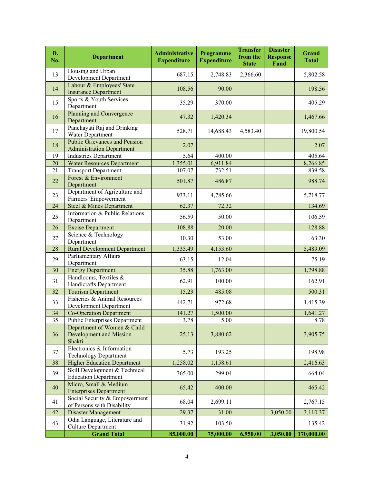| D.<br>No.       | <b>Department</b>                                                        | <b>Administrative</b><br><b>Expenditure</b> | Programme<br><b>Expenditure</b> | <b>Transfer</b><br>from the<br><b>State</b> | <b>Disaster</b><br><b>Response</b><br><b>Fund</b> | Grand<br><b>Total</b> |
|-----------------|--------------------------------------------------------------------------|---------------------------------------------|---------------------------------|---------------------------------------------|---------------------------------------------------|-----------------------|
| 13              | Housing and Urban<br>Development Department                              | 687.15                                      | 2,748.83                        | 2,366.60                                    |                                                   | 5,802.58              |
| 14              | Labour & Employees' State<br><b>Insurance Department</b>                 | 108.56                                      | 90.00                           |                                             |                                                   | 198.56                |
| 15              | Sports & Youth Services<br>Department                                    | 35.29                                       | 370.00                          |                                             |                                                   | 405.29                |
| 16              | Planning and Convergence<br>Department                                   | 47.32                                       | 1,420.34                        |                                             |                                                   | 1,467.66              |
| 17              | Panchayati Raj and Drinking<br>Water Department                          | 528.71                                      | 14,688.43                       | 4,583.40                                    |                                                   | 19,800.54             |
| 18              | <b>Public Grievances and Pension</b><br><b>Administration Department</b> | 2.07                                        |                                 |                                             |                                                   | 2.07                  |
| 19              | <b>Industries Department</b>                                             | 5.64                                        | 400.00                          |                                             |                                                   | 405.64                |
| 20              | <b>Water Resources Department</b>                                        | 1,355.01                                    | 6,911.84                        |                                             |                                                   | 8,266.85              |
| 21              | <b>Transport Department</b>                                              | 107.07                                      | 732.51                          |                                             |                                                   | 839.58                |
| 22              | Forest & Environment<br>Department                                       | 501.87                                      | 486.87                          |                                             |                                                   | 988.74                |
| 23              | Department of Agriculture and<br>Farmers' Empowerment                    | 933.11                                      | 4,785.66                        |                                             |                                                   | 5,718.77              |
| 24              | Steel & Mines Department                                                 | 62.37                                       | 72.32                           |                                             |                                                   | 134.69                |
| 25              | Information & Public Relations<br>Department                             | 56.59                                       | 50.00                           |                                             |                                                   | 106.59                |
| 26              | <b>Excise Department</b>                                                 | 108.88                                      | 20.00                           |                                             |                                                   | 128.88                |
| 27              | Science & Technology<br>Department                                       | 10.30                                       | 53.00                           |                                             |                                                   | 63.30                 |
| 28              | <b>Rural Development Department</b>                                      | 1,335.49                                    | 4,153.60                        |                                             |                                                   | 5,489.09              |
| 29              | Parliamentary Affairs<br>Department                                      | 63.15                                       | 12.04                           |                                             |                                                   | 75.19                 |
| 30              | <b>Energy Department</b>                                                 | 35.88                                       | 1,763.00                        |                                             |                                                   | 1,798.88              |
| 31              | Handlooms, Textiles &<br>Handicrafts Department                          | 62.91                                       | 100.00                          |                                             |                                                   | 162.91                |
| 32              | <b>Tourism Department</b>                                                | 15.23                                       | 485.08                          |                                             |                                                   | 500.31                |
| 33              | Fisheries & Animal Resources<br>Development Department                   | 442.71                                      | 972.68                          |                                             |                                                   | 1,415.39              |
| 34              | <b>Co-Operation Department</b>                                           | 141.27                                      | 1,500.00                        |                                             |                                                   | 1,641.27              |
| $\overline{35}$ | <b>Public Enterprises Department</b>                                     | 3.78                                        | $\overline{5.00}$               |                                             |                                                   | 8.78                  |
| 36              | Department of Women & Child<br><b>Development and Mission</b><br>Shakti  | 25.13                                       | 3,880.62                        |                                             |                                                   | 3,905.75              |
| 37              | Electronics & Information<br><b>Technology Department</b>                | 5.73                                        | 193.25                          |                                             |                                                   | 198.98                |
| 38              | <b>Higher Education Department</b>                                       | 1,258.02                                    | 1,158.61                        |                                             |                                                   | 2,416.63              |
| 39              | Skill Development & Technical<br><b>Education Department</b>             | 365.00                                      | 299.04                          |                                             |                                                   | 664.04                |
| 40              | Micro, Small & Medium<br><b>Enterprises Department</b>                   | 65.42                                       | 400.00                          |                                             |                                                   | 465.42                |
| 41              | Social Security & Empowerment<br>of Persons with Disability              | 68.04                                       | 2,699.11                        |                                             |                                                   | 2,767.15              |
| 42              | <b>Disaster Management</b>                                               | 29.37                                       | 31.00                           |                                             | 3,050.00                                          | 3,110.37              |
| 43              | Odia Language, Literature and<br><b>Culture Department</b>               | 31.92                                       | 103.50                          |                                             |                                                   | 135.42                |
|                 | <b>Grand Total</b>                                                       | 85,000.00                                   | 75,000.00                       | 6,950.00                                    | 3,050.00                                          | 170,000.00            |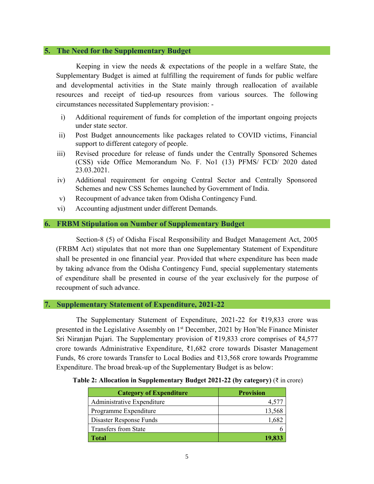# **5. The Need for the Supplementary Budget**

Keeping in view the needs & expectations of the people in a welfare State, the Supplementary Budget is aimed at fulfilling the requirement of funds for public welfare and developmental activities in the State mainly through reallocation of available resources and receipt of tied-up resources from various sources. The following circumstances necessitated Supplementary provision: -

- i) Additional requirement of funds for completion of the important ongoing projects under state sector.
- ii) Post Budget announcements like packages related to COVID victims, Financial support to different category of people.
- iii) Revised procedure for release of funds under the Centrally Sponsored Schemes (CSS) vide Office Memorandum No. F. No1 (13) PFMS/ FCD/ 2020 dated 23.03.2021.
- iv) Additional requirement for ongoing Central Sector and Centrally Sponsored Schemes and new CSS Schemes launched by Government of India.
- v) Recoupment of advance taken from Odisha Contingency Fund.
- vi) Accounting adjustment under different Demands.

# **6. FRBM Stipulation on Number of Supplementary Budget**

Section-8 (5) of Odisha Fiscal Responsibility and Budget Management Act, 2005 (FRBM Act) stipulates that not more than one Supplementary Statement of Expenditure shall be presented in one financial year. Provided that where expenditure has been made by taking advance from the Odisha Contingency Fund, special supplementary statements of expenditure shall be presented in course of the year exclusively for the purpose of recoupment of such advance.

# **7. Supplementary Statement of Expenditure, 2021-22**

The Supplementary Statement of Expenditure, 2021-22 for  $\overline{\xi}19,833$  crore was presented in the Legislative Assembly on 1<sup>st</sup> December, 2021 by Hon'ble Finance Minister Sri Niranjan Pujari. The Supplementary provision of ₹19,833 crore comprises of ₹4,577 crore towards Administrative Expenditure, ₹1,682 crore towards Disaster Management Funds, ₹6 crore towards Transfer to Local Bodies and ₹13,568 crore towards Programme Expenditure. The broad break-up of the Supplementary Budget is as below:

|  | Table 2: Allocation in Supplementary Budget 2021-22 (by category) ( $\bar{\tau}$ in crore) |
|--|--------------------------------------------------------------------------------------------|
|  |                                                                                            |

| <b>Category of Expenditure</b> | <b>Provision</b> |
|--------------------------------|------------------|
| Administrative Expenditure     |                  |
| Programme Expenditure          | 13,568           |
| Disaster Response Funds        | 1,68             |
| Transfers from State           |                  |
| Total                          |                  |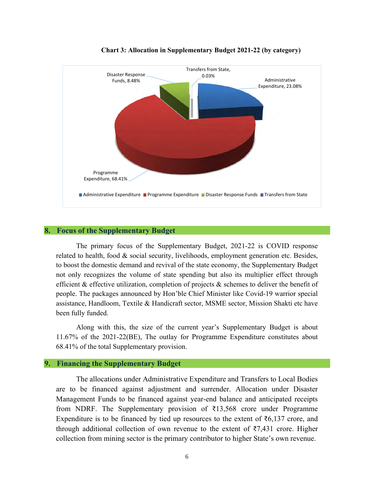

### **Chart 3: Allocation in Supplementary Budget 2021-22 (by category)**

# **8. Focus of the Supplementary Budget**

The primary focus of the Supplementary Budget, 2021-22 is COVID response related to health, food & social security, livelihoods, employment generation etc. Besides, to boost the domestic demand and revival of the state economy, the Supplementary Budget not only recognizes the volume of state spending but also its multiplier effect through efficient & effective utilization, completion of projects & schemes to deliver the benefit of people. The packages announced by Hon'ble Chief Minister like Covid-19 warrior special assistance, Handloom, Textile & Handicraft sector, MSME sector, Mission Shakti etc have been fully funded.

Along with this, the size of the current year's Supplementary Budget is about 11.67% of the 2021-22(BE), The outlay for Programme Expenditure constitutes about 68.41% of the total Supplementary provision.

# **9. Financing the Supplementary Budget**

The allocations under Administrative Expenditure and Transfers to Local Bodies are to be financed against adjustment and surrender. Allocation under Disaster Management Funds to be financed against year-end balance and anticipated receipts from NDRF. The Supplementary provision of ₹13,568 crore under Programme Expenditure is to be financed by tied up resources to the extent of  $\bar{\tau}6,137$  crore, and through additional collection of own revenue to the extent of  $\overline{z}7,431$  crore. Higher collection from mining sector is the primary contributor to higher State's own revenue.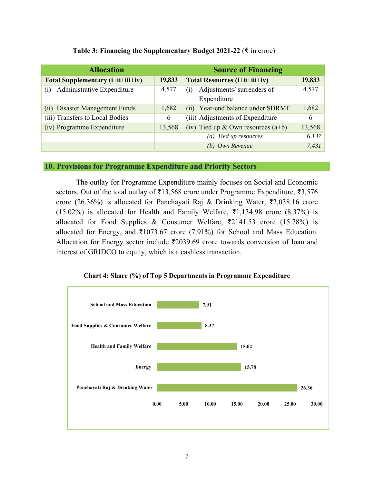| <b>Allocation</b>                           |        | <b>Source of Financing</b>           |        |  |
|---------------------------------------------|--------|--------------------------------------|--------|--|
| 19,833<br>Total Supplementary (i+ii+iii+iv) |        | <b>Total Resources (i+ii+iii+iv)</b> | 19,833 |  |
| Administrative Expenditure<br>(i)           | 4,577  | Adjustments/ surrenders of<br>(i)    | 4,577  |  |
|                                             |        | Expenditure                          |        |  |
| (ii) Disaster Management Funds              | 1,682  | (ii) Year-end balance under SDRMF    | 1,682  |  |
| (iii) Transfers to Local Bodies             | 6      | (iii) Adjustments of Expenditure     | 6      |  |
| (iv) Programme Expenditure                  | 13,568 | (iv) Tied up & Own resources $(a+b)$ | 13,568 |  |
|                                             |        | (a) Tied up resources                | 6,137  |  |
|                                             |        | (b) Own Revenue                      | 7,431  |  |

# **Table 3: Financing the Supplementary Budget 2021-22** (₹ in crore)

# **10. Provisions for Programme Expenditure and Priority Sectors**

The outlay for Programme Expenditure mainly focuses on Social and Economic sectors. Out of the total outlay of ₹13,568 crore under Programme Expenditure, ₹3,576 crore (26.36%) is allocated for Panchayati Raj & Drinking Water, ₹2,038.16 crore (15.02%) is allocated for Health and Family Welfare,  $\overline{51,134.98}$  crore (8.37%) is allocated for Food Supplies & Consumer Welfare, ₹2141.53 crore (15.78%) is allocated for Energy, and ₹1073.67 crore (7.91%) for School and Mass Education. Allocation for Energy sector include ₹2039.69 crore towards conversion of loan and interest of GRIDCO to equity, which is a cashless transaction.



**Chart 4: Share (%) of Top 5 Departments in Programme Expenditure**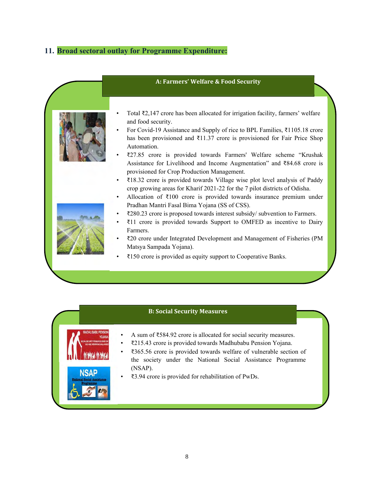# **11. Broad sectoral outlay for Programme Expenditure:**

|                                   | A: Farmers' Welfare & Food Security                                                                                                                                                                                                                                                                                                                                                                                                                                                                                                                                                                                                                                                                                                                                                                                                                                                                                                                                                                                                                                                                                                                |
|-----------------------------------|----------------------------------------------------------------------------------------------------------------------------------------------------------------------------------------------------------------------------------------------------------------------------------------------------------------------------------------------------------------------------------------------------------------------------------------------------------------------------------------------------------------------------------------------------------------------------------------------------------------------------------------------------------------------------------------------------------------------------------------------------------------------------------------------------------------------------------------------------------------------------------------------------------------------------------------------------------------------------------------------------------------------------------------------------------------------------------------------------------------------------------------------------|
|                                   | Total ₹2,147 crore has been allocated for irrigation facility, farmers' welfare<br>and food security.<br>For Covid-19 Assistance and Supply of rice to BPL Families, ₹1105.18 crore<br>has been provisioned and $\overline{\xi}$ 11.37 crore is provisioned for Fair Price Shop<br>Automation.<br>₹27.85 crore is provided towards Farmers' Welfare scheme "Krushak<br>Assistance for Livelihood and Income Augmentation" and ₹84.68 crore is<br>provisioned for Crop Production Management.<br>₹18.32 crore is provided towards Village wise plot level analysis of Paddy<br>crop growing areas for Kharif 2021-22 for the 7 pilot districts of Odisha.<br>Allocation of $\bar{\tau}100$ crore is provided towards insurance premium under<br>$\bullet$<br>Pradhan Mantri Fasal Bima Yojana (SS of CSS).<br>₹280.23 crore is proposed towards interest subsidy/ subvention to Farmers.<br>₹11 crore is provided towards Support to OMFED as incentive to Dairy<br>Farmers.<br>₹20 crore under Integrated Development and Management of Fisheries (PM<br>Matsya Sampada Yojana).<br>₹150 crore is provided as equity support to Cooperative Banks. |
|                                   |                                                                                                                                                                                                                                                                                                                                                                                                                                                                                                                                                                                                                                                                                                                                                                                                                                                                                                                                                                                                                                                                                                                                                    |
|                                   | <b>B: Social Security Measures</b>                                                                                                                                                                                                                                                                                                                                                                                                                                                                                                                                                                                                                                                                                                                                                                                                                                                                                                                                                                                                                                                                                                                 |
| <b>MARKA MARKA</b><br><b>NSAP</b> | A sum of ₹584.92 crore is allocated for social security measures.<br>₹215.43 crore is provided towards Madhubabu Pension Yojana.<br>₹365.56 crore is provided towards welfare of vulnerable section of<br>the society under the National Social Assistance Programme<br>(NSAP).<br>₹3.94 crore is provided for rehabilitation of PwDs.                                                                                                                                                                                                                                                                                                                                                                                                                                                                                                                                                                                                                                                                                                                                                                                                             |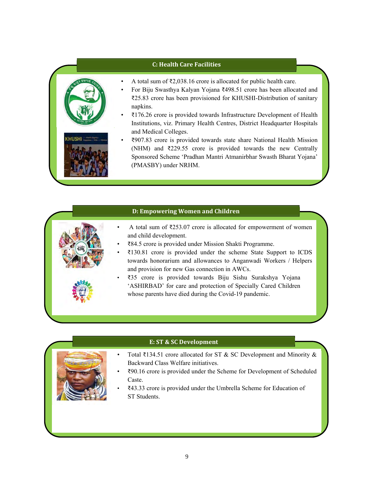# **C: Health Care Facilities**



- For Biju Swasthya Kalyan Yojana ₹498.51 crore has been allocated and ₹25.83 crore has been provisioned for KHUSHI-Distribution of sanitary napkins.
- ₹176.26 crore is provided towards Infrastructure Development of Health Institutions, viz. Primary Health Centres, District Headquarter Hospitals and Medical Colleges.
- ₹907.83 crore is provided towards state share National Health Mission (NHM) and ₹229.55 crore is provided towards the new Centrally Sponsored Scheme 'Pradhan Mantri Atmanirbhar Swasth Bharat Yojana' (PMASBY) under NRHM.

### **D: Empowering Women and Children**

- A total sum of ₹253.07 crore is allocated for empowerment of women and child development.
	- ₹84.5 crore is provided under Mission Shakti Programme.
	- ₹130.81 crore is provided under the scheme State Support to ICDS towards honorarium and allowances to Anganwadi Workers / Helpers and provision for new Gas connection in AWCs.
	- ₹35 crore is provided towards Biju Sishu Surakshya Yojana 'ASHIRBAD' for care and protection of Specially Cared Children whose parents have died during the Covid-19 pandemic.

# **E: ST & SC Development**

- Total ₹134.51 crore allocated for ST & SC Development and Minority & Backward Class Welfare initiatives.
- ₹90.16 crore is provided under the Scheme for Development of Scheduled Caste.
- ₹43.33 crore is provided under the Umbrella Scheme for Education of ST Students.

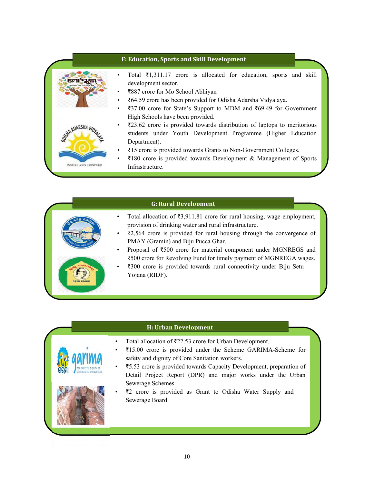# **F: Education, Sports and Skill Development** • Total ₹1,311.17 crore is allocated for education, sports and skill development sector. • ₹887 crore for Mo School Abhiyan • ₹64.59 crore has been provided for Odisha Adarsha Vidyalaya. • ₹37.00 crore for State's Support to MDM and ₹69.49 for Government High Schools have been provided. • ₹23.62 crore is provided towards distribution of laptops to meritorious **ADARSHAL** students under Youth Development Programme (Higher Education Department). • ₹15 crore is provided towards Grants to Non-Government Colleges. • ₹180 crore is provided towards Development & Management of Sports **INSPIRE AND EMPOWER** Infrastructure.

# **G: Rural Development**

- Total allocation of ₹3,911.81 crore for rural housing, wage employment, provision of drinking water and rural infrastructure.
	- $\overline{22,564}$  crore is provided for rural housing through the convergence of PMAY (Gramin) and Biju Pucca Ghar.
	- Proposal of ₹500 crore for material component under MGNREGS and ₹500 crore for Revolving Fund for timely payment of MGNREGA wages.
	- ₹300 crore is provided towards rural connectivity under Biju Setu Yojana (RIDF).

# **H: Urban Development**

- Total allocation of ₹22.53 crore for Urban Development.
- ₹15.00 crore is provided under the Scheme GARIMA-Scheme for safety and dignity of Core Sanitation workers.
- ₹5.53 crore is provided towards Capacity Development, preparation of Detail Project Report (DPR) and major works under the Urban Sewerage Schemes.
- ₹2 crore is provided as Grant to Odisha Water Supply and Sewerage Board.

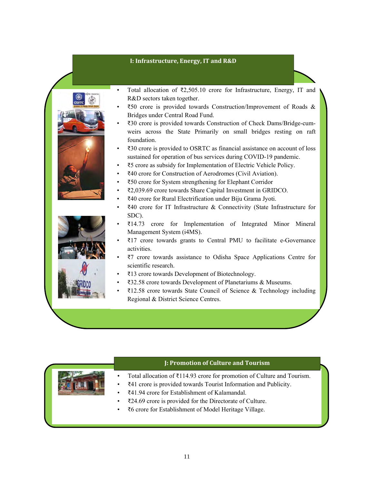# **I: Infrastructure, Energy, IT and R&D**



- Total allocation of ₹2,505.10 crore for Infrastructure, Energy, IT and R&D sectors taken together.
- ₹50 crore is provided towards Construction/Improvement of Roads & Bridges under Central Road Fund.
- ₹30 crore is provided towards Construction of Check Dams/Bridge-cumweirs across the State Primarily on small bridges resting on raft foundation.
- ₹30 crore is provided to OSRTC as financial assistance on account of loss sustained for operation of bus services during COVID-19 pandemic.
- ₹5 crore as subsidy for Implementation of Electric Vehicle Policy.
- ₹40 crore for Construction of Aerodromes (Civil Aviation).
- ₹50 crore for System strengthening for Elephant Corridor
- ₹2,039.69 crore towards Share Capital Investment in GRIDCO.
- ₹40 crore for Rural Electrification under Biju Grama Jyoti.
- ₹40 crore for IT Infrastructure & Connectivity (State Infrastructure for SDC).
- ₹14.73 crore for Implementation of Integrated Minor Mineral Management System (i4MS).
- ₹17 crore towards grants to Central PMU to facilitate e-Governance activities.
- ₹7 crore towards assistance to Odisha Space Applications Centre for scientific research.
- ₹13 crore towards Development of Biotechnology.
- ₹32.58 crore towards Development of Planetariums & Museums.
- ₹12.58 crore towards State Council of Science & Technology including Regional & District Science Centres.

# **J: Promotion of Culture and Tourism**

- Total allocation of ₹114.93 crore for promotion of Culture and Tourism.
- ₹41 crore is provided towards Tourist Information and Publicity.
- ₹41.94 crore for Establishment of Kalamandal.
- ₹24.69 crore is provided for the Directorate of Culture.
- ₹6 crore for Establishment of Model Heritage Village.

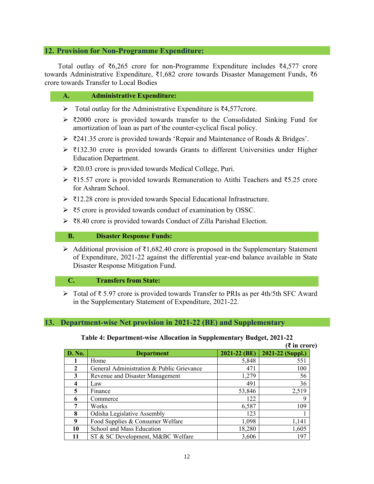# **12. Provision for Non-Programme Expenditure:**

Total outlay of ₹6,265 crore for non-Programme Expenditure includes ₹4,577 crore towards Administrative Expenditure, ₹1,682 crore towards Disaster Management Funds, ₹6 crore towards Transfer to Local Bodies

# **A. Administrative Expenditure:**

- Total outlay for the Administrative Expenditure is ₹4,577crore.
- $\geq$  ₹2000 crore is provided towards transfer to the Consolidated Sinking Fund for amortization of loan as part of the counter-cyclical fiscal policy.
- $\triangleright$  ₹241.35 crore is provided towards 'Repair and Maintenance of Roads & Bridges'.
- $\triangleright$  ₹132.30 crore is provided towards Grants to different Universities under Higher Education Department.
- ₹20.03 crore is provided towards Medical College, Puri.
- ₹15.57 crore is provided towards Remuneration to Atithi Teachers and ₹5.25 crore for Ashram School.
- ₹12.28 crore is provided towards Special Educational Infrastructure.
- ₹5 crore is provided towards conduct of examination by OSSC.
- ₹8.40 crore is provided towards Conduct of Zilla Parishad Election.

### **B. Disaster Response Funds:**

 Additional provision of ₹1,682.40 crore is proposed in the Supplementary Statement of Expenditure, 2021-22 against the differential year-end balance available in State Disaster Response Mitigation Fund.

# **C. Transfers from State:**

 Total of ₹ 5.97 crore is provided towards Transfer to PRIs as per 4th/5th SFC Award in the Supplementary Statement of Expenditure, 2021-22.

# **13. Department-wise Net provision in 2021-22 (BE) and Supplementary**

# **Table 4: Department-wise Allocation in Supplementary Budget, 2021-22**

|               |                                           |              | $(3\overline{5})$ in crore) |
|---------------|-------------------------------------------|--------------|-----------------------------|
| <b>D. No.</b> | <b>Department</b>                         | 2021-22 (BE) | 2021-22 (Suppl.)            |
|               | Home                                      | 5,848        | 551                         |
| 2             | General Administration & Public Grievance | 471          | 100                         |
| 3             | Revenue and Disaster Management           | 1,279        | 56                          |
| 4             | Law                                       | 491          | 36                          |
| 5             | Finance                                   | 53,846       | 2,519                       |
| 6             | Commerce                                  | 122          | 9                           |
|               | Works                                     | 6,587        | 109                         |
| 8             | Odisha Legislative Assembly               | 123          |                             |
| 9             | Food Supplies & Consumer Welfare          | 1,098        | 1,141                       |
| 10            | School and Mass Education                 | 18,280       | 1,605                       |
|               | ST & SC Development, M&BC Welfare         | 3,606        | 197                         |